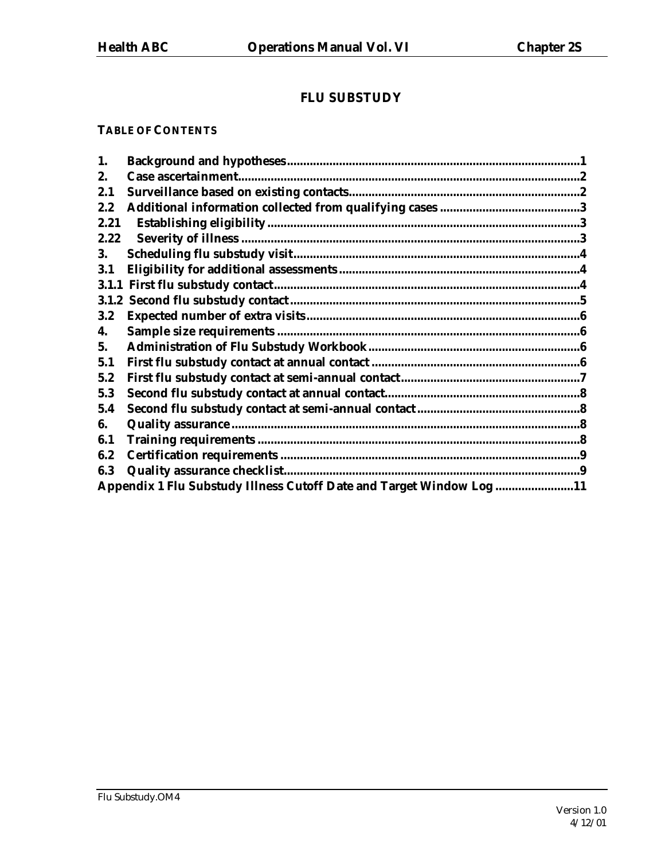# **FLU SUBSTUDY**

#### **TABLE OF CONTENTS**

| 1.      |                                                                      |  |
|---------|----------------------------------------------------------------------|--|
| 2.      |                                                                      |  |
| 2.1     |                                                                      |  |
| 2.2     |                                                                      |  |
| 2.21    |                                                                      |  |
| 2.22    |                                                                      |  |
| 3.      |                                                                      |  |
| 3.1     |                                                                      |  |
|         |                                                                      |  |
| 3.1.2   |                                                                      |  |
| $3.2\,$ |                                                                      |  |
| 4.      |                                                                      |  |
| 5.      |                                                                      |  |
| 5.1     |                                                                      |  |
| 5.2     |                                                                      |  |
| 5.3     |                                                                      |  |
| 5.4     |                                                                      |  |
| 6.      |                                                                      |  |
| 6.1     |                                                                      |  |
| 6.2     |                                                                      |  |
| 6.3     |                                                                      |  |
|         | Appendix 1 Flu Substudy Illness Cutoff Date and Target Window Log 11 |  |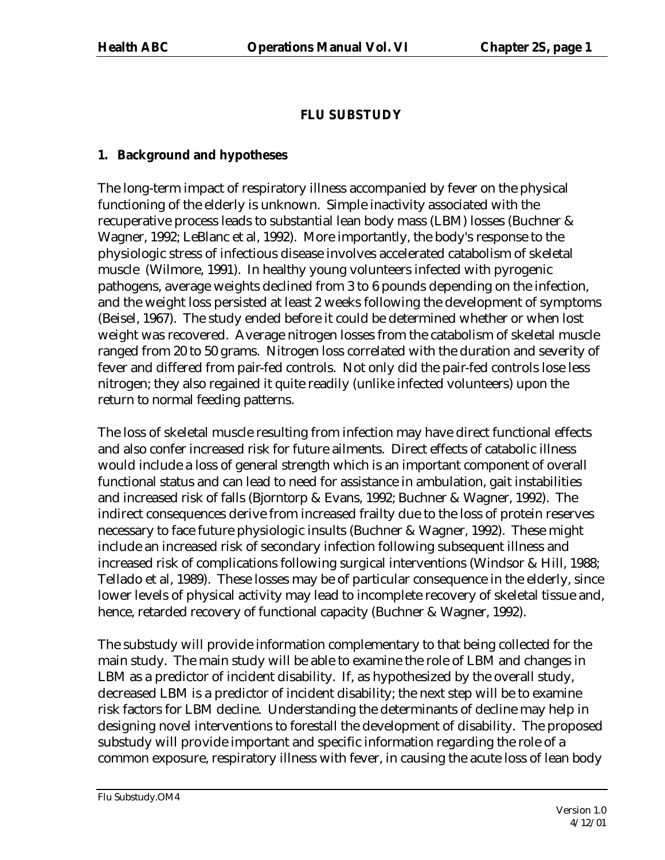# **FLU SUBSTUDY**

## **1. Background and hypotheses**

The long-term impact of respiratory illness accompanied by fever on the physical functioning of the elderly is unknown. Simple inactivity associated with the recuperative process leads to substantial lean body mass (LBM) losses (Buchner & Wagner, 1992; LeBlanc et al, 1992). More importantly, the body's response to the physiologic stress of infectious disease involves accelerated catabolism of skeletal muscle (Wilmore, 1991). In healthy young volunteers infected with pyrogenic pathogens, average weights declined from 3 to 6 pounds depending on the infection, and the weight loss persisted at least 2 weeks following the development of symptoms (Beisel, 1967). The study ended before it could be determined whether or when lost weight was recovered. Average nitrogen losses from the catabolism of skeletal muscle ranged from 20 to 50 grams. Nitrogen loss correlated with the duration and severity of fever and differed from pair-fed controls. Not only did the pair-fed controls lose less nitrogen; they also regained it quite readily (unlike infected volunteers) upon the return to normal feeding patterns.

The loss of skeletal muscle resulting from infection may have direct functional effects and also confer increased risk for future ailments. Direct effects of catabolic illness would include a loss of general strength which is an important component of overall functional status and can lead to need for assistance in ambulation, gait instabilities and increased risk of falls (Bjorntorp & Evans, 1992; Buchner & Wagner, 1992). The indirect consequences derive from increased frailty due to the loss of protein reserves necessary to face future physiologic insults (Buchner & Wagner, 1992). These might include an increased risk of secondary infection following subsequent illness and increased risk of complications following surgical interventions (Windsor & Hill, 1988; Tellado et al, 1989). These losses may be of particular consequence in the elderly, since lower levels of physical activity may lead to incomplete recovery of skeletal tissue and, hence, retarded recovery of functional capacity (Buchner & Wagner, 1992).

The substudy will provide information complementary to that being collected for the main study. The main study will be able to examine the role of LBM and changes in LBM as a predictor of incident disability. If, as hypothesized by the overall study, decreased LBM is a predictor of incident disability; the next step will be to examine risk factors for LBM decline. Understanding the determinants of decline may help in designing novel interventions to forestall the development of disability. The proposed substudy will provide important and specific information regarding the role of a common exposure, respiratory illness with fever, in causing the acute loss of lean body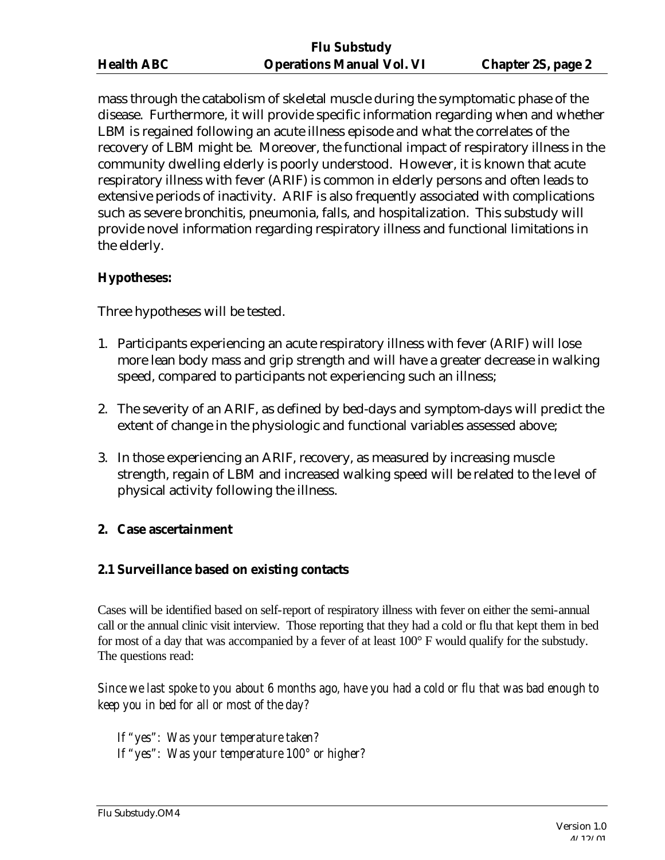mass through the catabolism of skeletal muscle during the symptomatic phase of the disease. Furthermore, it will provide specific information regarding when and whether LBM is regained following an acute illness episode and what the correlates of the recovery of LBM might be. Moreover, the functional impact of respiratory illness in the community dwelling elderly is poorly understood. However, it is known that acute respiratory illness with fever (ARIF) is common in elderly persons and often leads to extensive periods of inactivity. ARIF is also frequently associated with complications such as severe bronchitis, pneumonia, falls, and hospitalization. This substudy will provide novel information regarding respiratory illness and functional limitations in the elderly.

### **Hypotheses:**

Three hypotheses will be tested.

- 1. Participants experiencing an acute respiratory illness with fever (ARIF) will lose more lean body mass and grip strength and will have a greater decrease in walking speed, compared to participants not experiencing such an illness;
- 2. The severity of an ARIF, as defined by bed-days and symptom-days will predict the extent of change in the physiologic and functional variables assessed above;
- 3. In those experiencing an ARIF, recovery, as measured by increasing muscle strength, regain of LBM and increased walking speed will be related to the level of physical activity following the illness.

#### **2. Case ascertainment**

#### **2.1 Surveillance based on existing contacts**

Cases will be identified based on self-report of respiratory illness with fever on either the semi-annual call or the annual clinic visit interview. Those reporting that they had a cold or flu that kept them in bed for most of a day that was accompanied by a fever of at least 100° F would qualify for the substudy. The questions read:

*Since we last spoke to you about 6 months ago, have you had a cold or flu that was bad enough to keep you in bed for all or most of the day?*

*If "yes": Was your temperature taken? If "yes": Was your temperature 100° or higher?*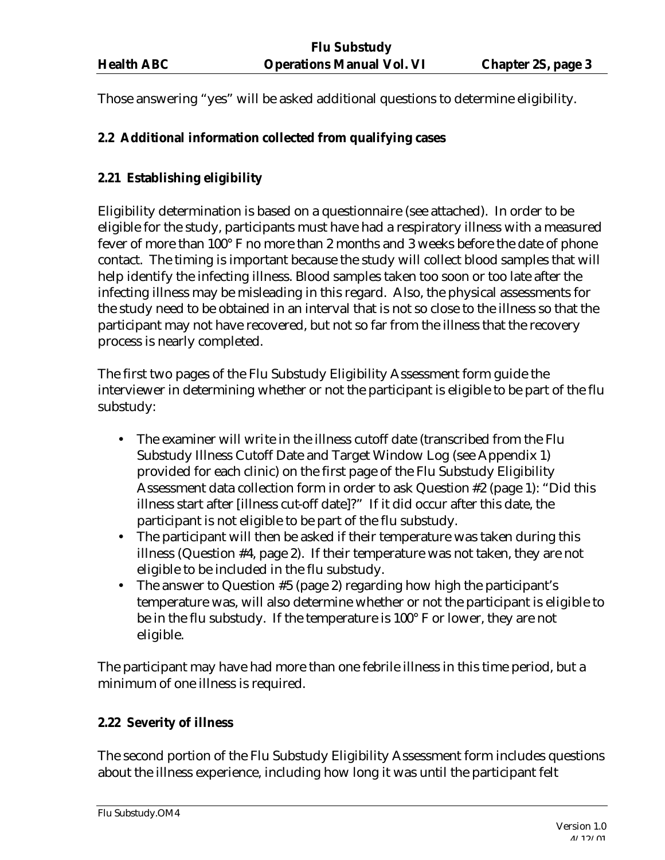Those answering "yes" will be asked additional questions to determine eligibility.

### **2.2 Additional information collected from qualifying cases**

### **2.21 Establishing eligibility**

Eligibility determination is based on a questionnaire (see attached). In order to be eligible for the study, participants must have had a respiratory illness with a measured fever of more than 100° F no more than 2 months and 3 weeks before the date of phone contact. The timing is important because the study will collect blood samples that will help identify the infecting illness. Blood samples taken too soon or too late after the infecting illness may be misleading in this regard. Also, the physical assessments for the study need to be obtained in an interval that is not so close to the illness so that the participant may not have recovered, but not so far from the illness that the recovery process is nearly completed.

The first two pages of the Flu Substudy Eligibility Assessment form guide the interviewer in determining whether or not the participant is eligible to be part of the flu substudy:

- The examiner will write in the illness cutoff date (transcribed from the Flu Substudy Illness Cutoff Date and Target Window Log (see Appendix 1) provided for each clinic) on the first page of the Flu Substudy Eligibility Assessment data collection form in order to ask Question #2 (page 1): "Did this illness start after [illness cut-off date]?" If it did occur after this date, the participant is not eligible to be part of the flu substudy.
- The participant will then be asked if their temperature was taken during this illness (Question #4, page 2). If their temperature was not taken, they are not eligible to be included in the flu substudy.
- The answer to Question #5 (page 2) regarding how high the participant's temperature was, will also determine whether or not the participant is eligible to be in the flu substudy. If the temperature is 100° F or lower, they are not eligible.

The participant may have had more than one febrile illness in this time period, but a minimum of one illness is required.

### **2.22 Severity of illness**

The second portion of the Flu Substudy Eligibility Assessment form includes questions about the illness experience, including how long it was until the participant felt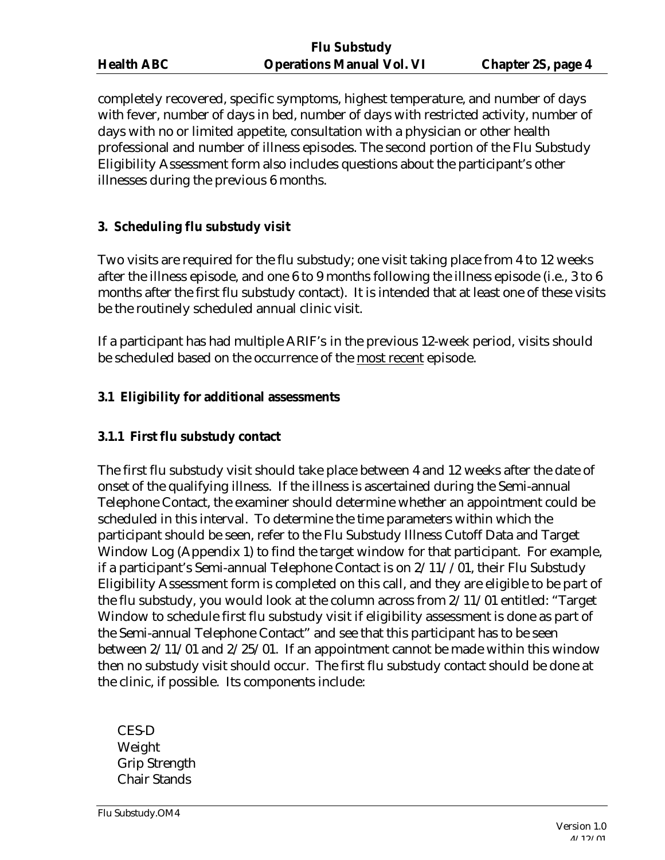| <b>Health ABC</b> |  |
|-------------------|--|
|                   |  |

completely recovered, specific symptoms, highest temperature, and number of days with fever, number of days in bed, number of days with restricted activity, number of days with no or limited appetite, consultation with a physician or other health professional and number of illness episodes. The second portion of the Flu Substudy Eligibility Assessment form also includes questions about the participant's other illnesses during the previous 6 months.

### **3. Scheduling flu substudy visit**

Two visits are required for the flu substudy; one visit taking place from 4 to 12 weeks after the illness episode, and one 6 to 9 months following the illness episode (i.e., 3 to 6 months after the first flu substudy contact). It is intended that at least one of these visits be the routinely scheduled annual clinic visit.

If a participant has had multiple ARIF's in the previous 12-week period, visits should be scheduled based on the occurrence of the most recent episode.

#### **3.1 Eligibility for additional assessments**

#### **3.1.1 First flu substudy contact**

The first flu substudy visit should take place between 4 and 12 weeks after the date of onset of the qualifying illness. If the illness is ascertained during the Semi-annual Telephone Contact, the examiner should determine whether an appointment could be scheduled in this interval. To determine the time parameters within which the participant should be seen, refer to the Flu Substudy Illness Cutoff Data and Target Window Log (Appendix 1) to find the target window for that participant. For example, if a participant's Semi-annual Telephone Contact is on 2/11//01, their Flu Substudy Eligibility Assessment form is completed on this call, and they are eligible to be part of the flu substudy, you would look at the column across from 2/11/01 entitled: "Target Window to schedule first flu substudy visit if eligibility assessment is done as part of the Semi-annual Telephone Contact" and see that this participant has to be seen between 2/11/01 and 2/25/01. If an appointment cannot be made within this window then no substudy visit should occur. The first flu substudy contact should be done at the clinic, if possible. Its components include:

CES-D Weight Grip Strength Chair Stands

Flu Substudy.OM4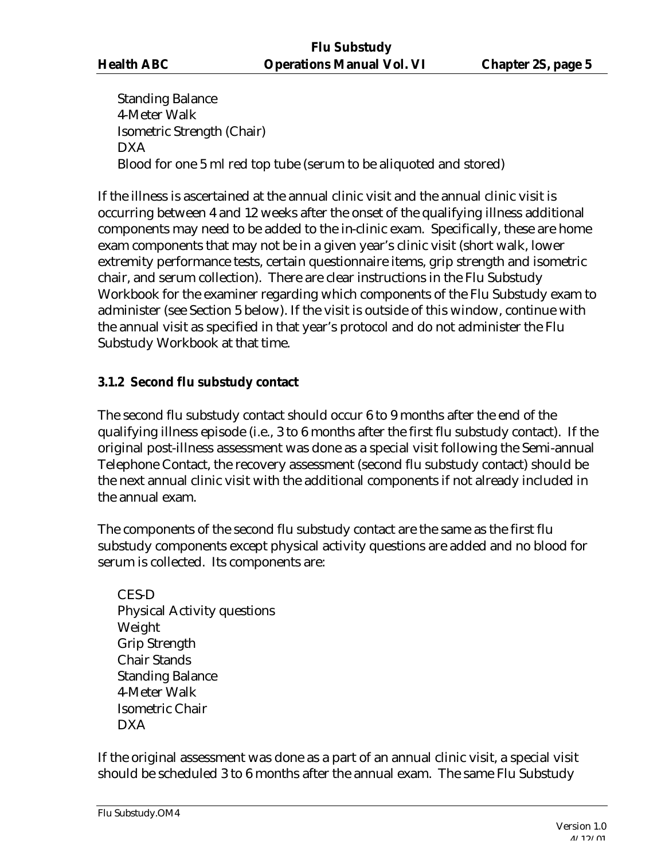Standing Balance 4-Meter Walk Isometric Strength (Chair) DXA Blood for one 5 ml red top tube (serum to be aliquoted and stored)

If the illness is ascertained at the annual clinic visit and the annual clinic visit is occurring between 4 and 12 weeks after the onset of the qualifying illness additional components may need to be added to the in-clinic exam. Specifically, these are home exam components that may not be in a given year's clinic visit (short walk, lower extremity performance tests, certain questionnaire items, grip strength and isometric chair, and serum collection). There are clear instructions in the Flu Substudy Workbook for the examiner regarding which components of the Flu Substudy exam to administer (see Section 5 below). If the visit is outside of this window, continue with the annual visit as specified in that year's protocol and do not administer the Flu Substudy Workbook at that time.

### **3.1.2 Second flu substudy contact**

The second flu substudy contact should occur 6 to 9 months after the end of the qualifying illness episode (i.e., 3 to 6 months after the first flu substudy contact). If the original post-illness assessment was done as a special visit following the Semi-annual Telephone Contact, the recovery assessment (second flu substudy contact) should be the next annual clinic visit with the additional components if not already included in the annual exam.

The components of the second flu substudy contact are the same as the first flu substudy components except physical activity questions are added and no blood for serum is collected. Its components are:

CES-D Physical Activity questions Weight Grip Strength Chair Stands Standing Balance 4-Meter Walk Isometric Chair DXA

If the original assessment was done as a part of an annual clinic visit, a special visit should be scheduled 3 to 6 months after the annual exam. The same Flu Substudy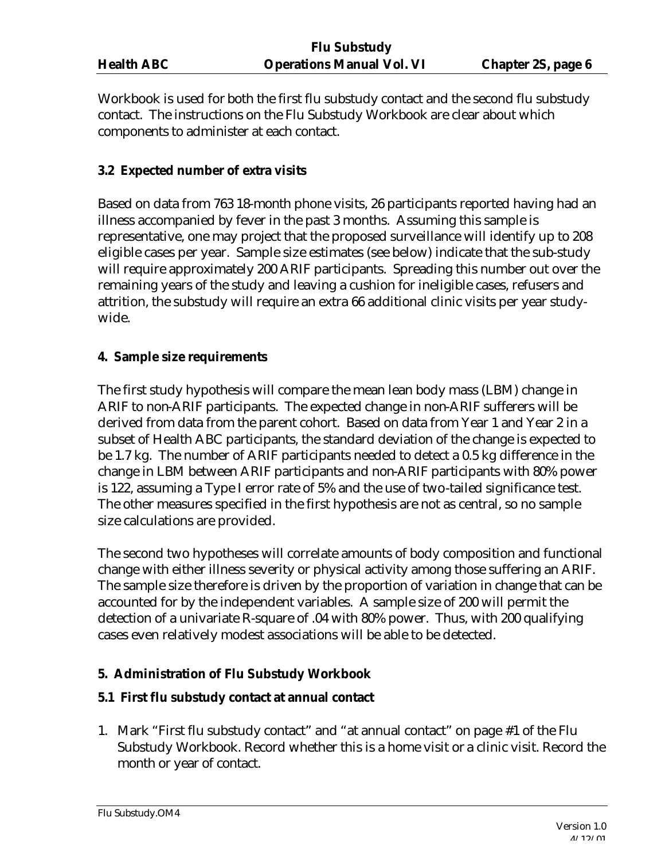Workbook is used for both the first flu substudy contact and the second flu substudy contact. The instructions on the Flu Substudy Workbook are clear about which components to administer at each contact.

#### **3.2 Expected number of extra visits**

Based on data from 763 18-month phone visits, 26 participants reported having had an illness accompanied by fever in the past 3 months. Assuming this sample is representative, one may project that the proposed surveillance will identify up to 208 eligible cases per year. Sample size estimates (see below) indicate that the sub-study will require approximately 200 ARIF participants. Spreading this number out over the remaining years of the study and leaving a cushion for ineligible cases, refusers and attrition, the substudy will require an extra 66 additional clinic visits per year studywide.

### **4. Sample size requirements**

The first study hypothesis will compare the mean lean body mass (LBM) change in ARIF to non-ARIF participants. The expected change in non-ARIF sufferers will be derived from data from the parent cohort. Based on data from Year 1 and Year 2 in a subset of Health ABC participants, the standard deviation of the change is expected to be 1.7 kg. The number of ARIF participants needed to detect a 0.5 kg difference in the change in LBM between ARIF participants and non-ARIF participants with 80% power is 122, assuming a Type I error rate of 5% and the use of two-tailed significance test. The other measures specified in the first hypothesis are not as central, so no sample size calculations are provided.

The second two hypotheses will correlate amounts of body composition and functional change with either illness severity or physical activity among those suffering an ARIF. The sample size therefore is driven by the proportion of variation in change that can be accounted for by the independent variables. A sample size of 200 will permit the detection of a univariate R-square of .04 with 80% power. Thus, with 200 qualifying cases even relatively modest associations will be able to be detected.

### **5. Administration of Flu Substudy Workbook**

### **5.1 First flu substudy contact at annual contact**

1. Mark "First flu substudy contact" and "at annual contact" on page #1 of the Flu Substudy Workbook. Record whether this is a home visit or a clinic visit. Record the month or year of contact.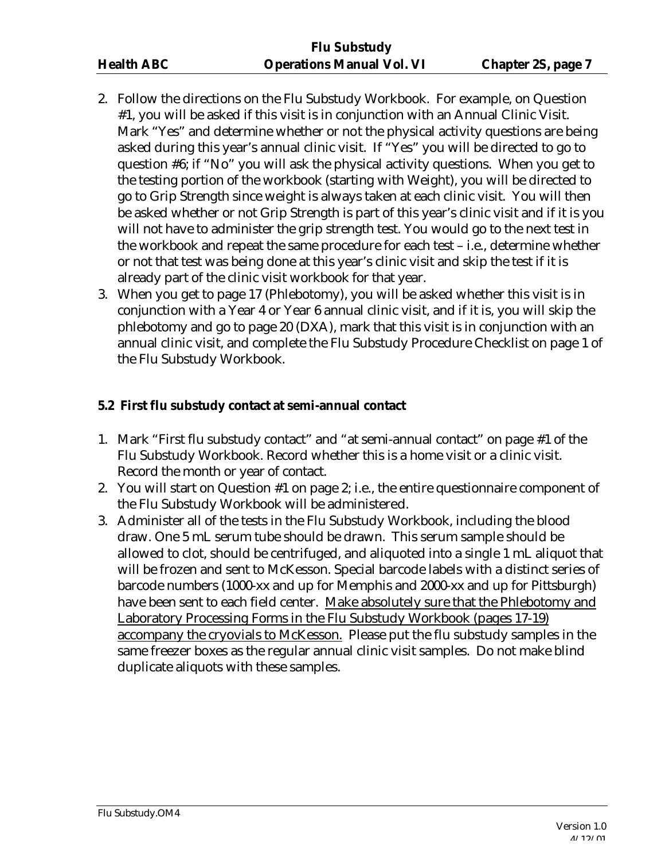- 2. Follow the directions on the Flu Substudy Workbook. For example, on Question #1, you will be asked if this visit is in conjunction with an Annual Clinic Visit. Mark "Yes" and determine whether or not the physical activity questions are being asked during this year's annual clinic visit. If "Yes" you will be directed to go to question #6; if "No" you will ask the physical activity questions. When you get to the testing portion of the workbook (starting with Weight), you will be directed to go to Grip Strength since weight is always taken at each clinic visit. You will then be asked whether or not Grip Strength is part of this year's clinic visit and if it is you will not have to administer the grip strength test. You would go to the next test in the workbook and repeat the same procedure for each test – i.e., determine whether or not that test was being done at this year's clinic visit and skip the test if it is already part of the clinic visit workbook for that year.
- 3. When you get to page 17 (Phlebotomy), you will be asked whether this visit is in conjunction with a Year 4 or Year 6 annual clinic visit, and if it is, you will skip the phlebotomy and go to page 20 (DXA), mark that this visit is in conjunction with an annual clinic visit, and complete the Flu Substudy Procedure Checklist on page 1 of the Flu Substudy Workbook.

### **5.2 First flu substudy contact at semi-annual contact**

- 1. Mark "First flu substudy contact" and "at semi-annual contact" on page #1 of the Flu Substudy Workbook. Record whether this is a home visit or a clinic visit. Record the month or year of contact.
- 2. You will start on Question #1 on page 2; i.e., the entire questionnaire component of the Flu Substudy Workbook will be administered.
- 3. Administer all of the tests in the Flu Substudy Workbook, including the blood draw. One 5 mL serum tube should be drawn. This serum sample should be allowed to clot, should be centrifuged, and aliquoted into a single 1 mL aliquot that will be frozen and sent to McKesson. Special barcode labels with a distinct series of barcode numbers (1000-xx and up for Memphis and 2000-xx and up for Pittsburgh) have been sent to each field center. Make absolutely sure that the Phlebotomy and Laboratory Processing Forms in the Flu Substudy Workbook (pages 17-19) accompany the cryovials to McKesson. Please put the flu substudy samples in the same freezer boxes as the regular annual clinic visit samples. Do not make blind duplicate aliquots with these samples.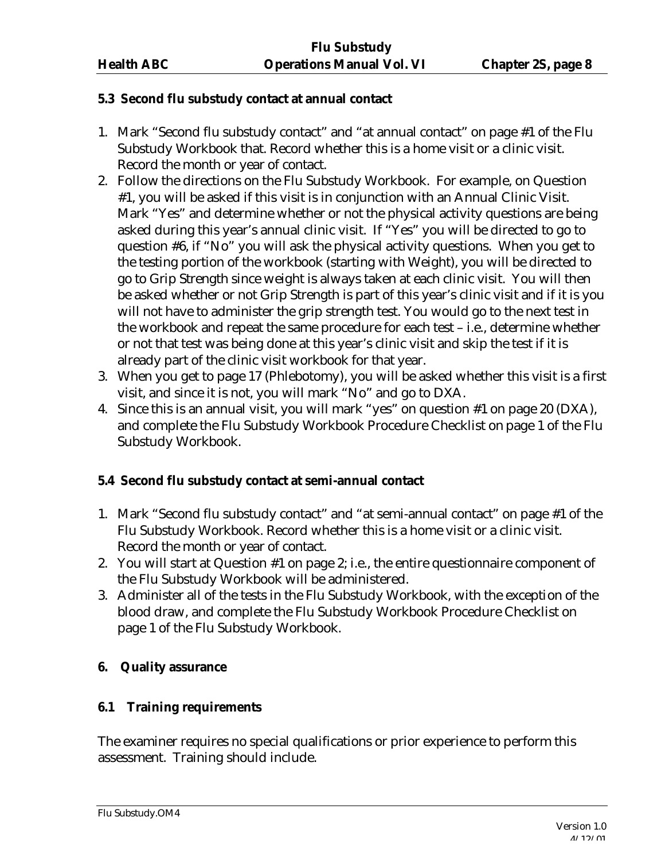#### **5.3 Second flu substudy contact at annual contact**

- 1. Mark "Second flu substudy contact" and "at annual contact" on page #1 of the Flu Substudy Workbook that. Record whether this is a home visit or a clinic visit. Record the month or year of contact.
- 2. Follow the directions on the Flu Substudy Workbook. For example, on Question #1, you will be asked if this visit is in conjunction with an Annual Clinic Visit. Mark "Yes" and determine whether or not the physical activity questions are being asked during this year's annual clinic visit. If "Yes" you will be directed to go to question #6, if "No" you will ask the physical activity questions. When you get to the testing portion of the workbook (starting with Weight), you will be directed to go to Grip Strength since weight is always taken at each clinic visit. You will then be asked whether or not Grip Strength is part of this year's clinic visit and if it is you will not have to administer the grip strength test. You would go to the next test in the workbook and repeat the same procedure for each test – i.e., determine whether or not that test was being done at this year's clinic visit and skip the test if it is already part of the clinic visit workbook for that year.
- 3. When you get to page 17 (Phlebotomy), you will be asked whether this visit is a first visit, and since it is not, you will mark "No" and go to DXA.
- 4. Since this is an annual visit, you will mark "yes" on question #1 on page 20 (DXA), and complete the Flu Substudy Workbook Procedure Checklist on page 1 of the Flu Substudy Workbook.

### **5.4 Second flu substudy contact at semi-annual contact**

- 1. Mark "Second flu substudy contact" and "at semi-annual contact" on page #1 of the Flu Substudy Workbook. Record whether this is a home visit or a clinic visit. Record the month or year of contact.
- 2. You will start at Question #1 on page 2; i.e., the entire questionnaire component of the Flu Substudy Workbook will be administered.
- 3. Administer all of the tests in the Flu Substudy Workbook, with the exception of the blood draw, and complete the Flu Substudy Workbook Procedure Checklist on page 1 of the Flu Substudy Workbook.

#### **6. Quality assurance**

#### **6.1 Training requirements**

The examiner requires no special qualifications or prior experience to perform this assessment. Training should include.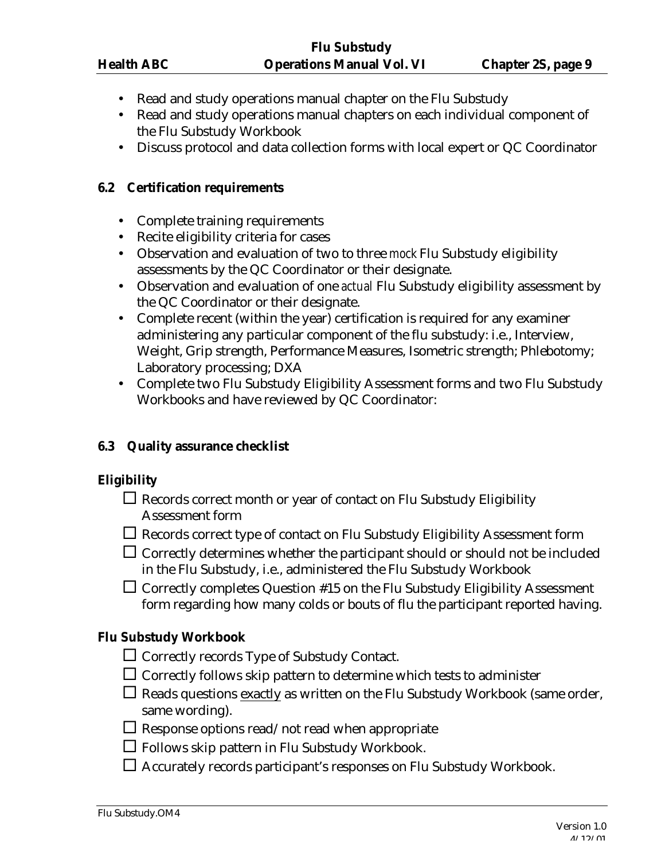- Read and study operations manual chapter on the Flu Substudy
- Read and study operations manual chapters on each individual component of the Flu Substudy Workbook
- Discuss protocol and data collection forms with local expert or QC Coordinator

#### **6.2 Certification requirements**

- Complete training requirements
- Recite eligibility criteria for cases
- Observation and evaluation of two to three *mock* Flu Substudy eligibility assessments by the QC Coordinator or their designate.
- Observation and evaluation of one *actual* Flu Substudy eligibility assessment by the QC Coordinator or their designate.
- Complete recent (within the year) certification is required for any examiner administering any particular component of the flu substudy: i.e., Interview, Weight, Grip strength, Performance Measures, Isometric strength; Phlebotomy; Laboratory processing; DXA
- Complete two Flu Substudy Eligibility Assessment forms and two Flu Substudy Workbooks and have reviewed by QC Coordinator:

#### **6.3 Quality assurance checklist**

#### **Eligibility**

- $\Box$  Records correct month or year of contact on Flu Substudy Eligibility Assessment form
- $\Box$  Records correct type of contact on Flu Substudy Eligibility Assessment form
- $\Box$  Correctly determines whether the participant should or should not be included in the Flu Substudy, i.e., administered the Flu Substudy Workbook
- $\Box$  Correctly completes Question #15 on the Flu Substudy Eligibility Assessment form regarding how many colds or bouts of flu the participant reported having.

#### **Flu Substudy Workbook**

- $\Box$  Correctly records Type of Substudy Contact.
- $\Box$  Correctly follows skip pattern to determine which tests to administer
- $\Box$  Reads questions exactly as written on the Flu Substudy Workbook (same order, same wording).
- $\Box$  <br> Response options read/not read when appropriate
- $\square$  Follows skip pattern in Flu Substudy Workbook.
- $\Box$  Accurately records participant's responses on Flu Substudy Workbook.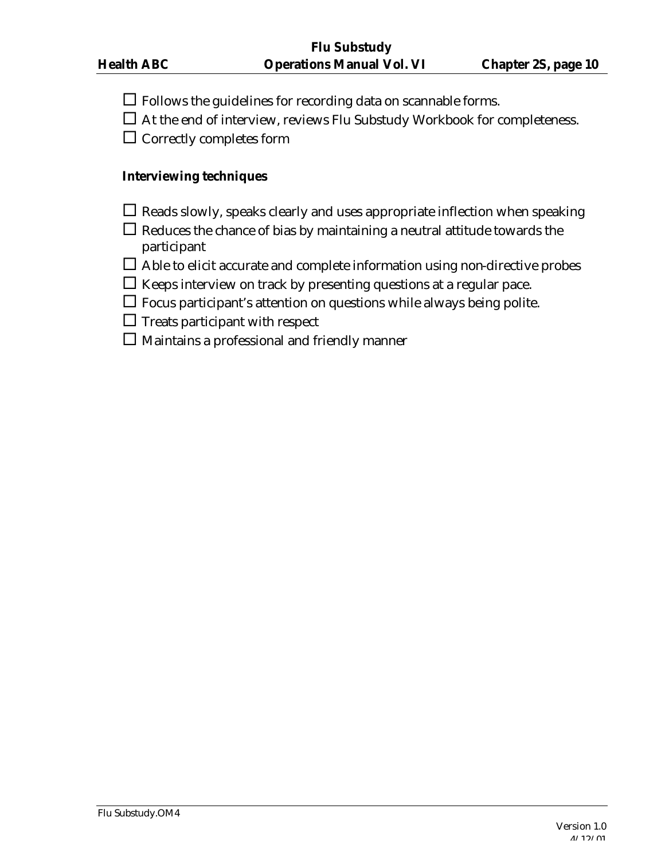- $\Box$  Follows the guidelines for recording data on scannable forms.
- $\Box$  At the end of interview, reviews Flu Substudy Workbook for completeness.

 $\square$  Correctly completes form

#### **Interviewing techniques**

- $\Box$  Reads slowly, speaks clearly and uses appropriate inflection when speaking
- $\Box$  Reduces the chance of bias by maintaining a neutral attitude towards the participant
- $\Box$  Able to elicit accurate and complete information using non-directive probes
- $\Box$  Keeps interview on track by presenting questions at a regular pace.
- $\Box$  Focus participant's attention on questions while always being polite.
- $\Box$  Treats participant with respect
- $\square$  Maintains a professional and friendly manner